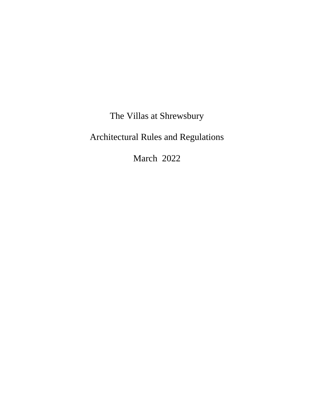The Villas at Shrewsbury

Architectural Rules and Regulations

March 2022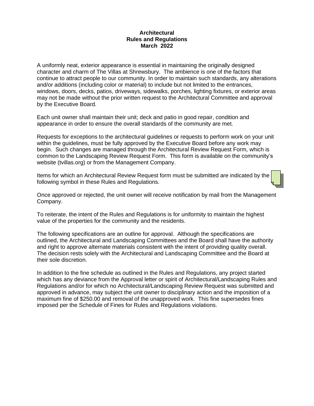#### **Architectural Rules and Regulations March 2022**

A uniformly neat, exterior appearance is essential in maintaining the originally designed character and charm of The Villas at Shrewsbury. The ambience is one of the factors that continue to attract people to our community. In order to maintain such standards, any alterations and/or additions (including color or material) to include but not limited to the entrances, windows, doors, decks, patios, driveways, sidewalks, porches, lighting fixtures, or exterior areas may not be made without the prior written request to the Architectural Committee and approval by the Executive Board.

Each unit owner shall maintain their unit; deck and patio in good repair, condition and appearance in order to ensure the overall standards of the community are met.

Requests for exceptions to the architectural guidelines or requests to perform work on your unit within the guidelines, must be fully approved by the Executive Board before any work may begin. Such changes are managed through the Architectural Review Request Form, which is common to the Landscaping Review Request Form. This form is available on the community's website (tvillas.org) or from the Management Company.

Items for which an Architectural Review Request form must be submitted are indicated by the following symbol in these Rules and Regulations.

Once approved or rejected, the unit owner will receive notification by mail from the Management Company.

To reiterate, the intent of the Rules and Regulations is for uniformity to maintain the highest value of the properties for the community and the residents.

The following specifications are an outline for approval. Although the specifications are outlined, the Architectural and Landscaping Committees and the Board shall have the authority and right to approve alternate materials consistent with the intent of providing quality overall. The decision rests solely with the Architectural and Landscaping Committee and the Board at their sole discretion.

In addition to the fine schedule as outlined in the Rules and Regulations, any project started which has any deviance from the Approval letter or spirit of Architectural/Landscaping Rules and Regulations and/or for which no Architectural/Landscaping Review Request was submitted and approved in advance, may subject the unit owner to disciplinary action and the imposition of a maximum fine of \$250.00 and removal of the unapproved work. This fine supersedes fines imposed per the Schedule of Fines for Rules and Regulations violations.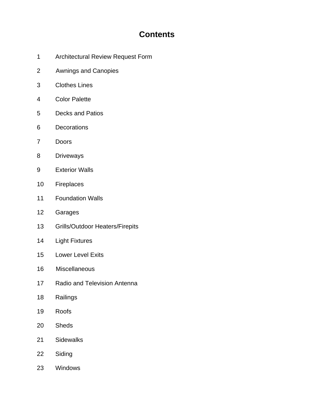# **Contents**

- 1 Architectural Review Request Form
- 2 Awnings and Canopies
- 3 Clothes Lines
- 4 Color Palette
- 5 Decks and Patios
- 6 Decorations
- 7 Doors
- 8 Driveways
- 9 Exterior Walls
- 10 Fireplaces
- 11 Foundation Walls
- 12 Garages
- 13 Grills/Outdoor Heaters/Firepits
- 14 Light Fixtures
- 15 Lower Level Exits
- 16 Miscellaneous
- 17 Radio and Television Antenna
- 18 Railings
- 19 Roofs
- 20 Sheds
- 21 Sidewalks
- 22 Siding
- 23 Windows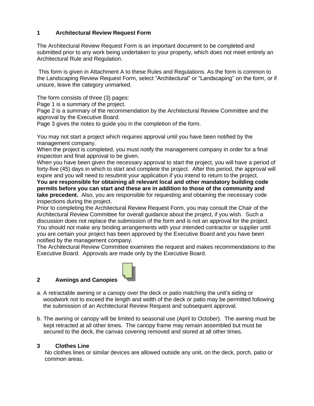## **1 Architectural Review Request Form**

The Architectural Review Request Form is an important document to be completed and submitted prior to any work being undertaken to your property, which does not meet entirely an Architectural Rule and Regulation.

This form is given in Attachment A to these Rules and Regulations. As the form is common to the Landscaping Review Request Form, select "Architectural" or "Landscaping" on the form, or if unsure, leave the category unmarked.

The form consists of three (3) pages:

Page 1 is a summary of the project.

Page 2 is a summary of the recommendation by the Architectural Review Committee and the approval by the Executive Board.

Page 3 gives the notes to guide you in the completion of the form.

You may not start a project which requires approval until you have been notified by the management company.

When the project is completed, you must notify the management company in order for a final inspection and final approval to be given.

When you have been given the necessary approval to start the project, you will have a period of forty-five (45) days in which to start and complete the project. After this period, the approval will expire and you will need to resubmit your application if you intend to return to the project.

**You are responsible for obtaining all relevant local and other mandatory building code permits before you can start and these are in addition to those of the community and take precedent.** Also, you are responsible for requesting and obtaining the necessary code inspections during the project.

Prior to completing the Architectural Review Request Form, you may consult the Chair of the Architectural Review Committee for overall guidance about the project, if you wish. Such a discussion does not replace the submission of the form and is not an approval for the project. You should not make any binding arrangements with your intended contractor or supplier until you are certain your project has been approved by the Executive Board and you have been notified by the management company.

The Architectural Review Committee examines the request and makes recommendations to the Executive Board. Approvals are made only by the Executive Board.

#### **2 Awnings and Canopies**



- a. A retractable awning or a canopy over the deck or patio matching the unit's siding or woodwork not to exceed the length and width of the deck or patio may be permitted following the submission of an Architectural Review Request and subsequent approval.
- b. The awning or canopy will be limited to seasonal use (April to October). The awning must be kept retracted at all other times. The canopy frame may remain assembled but must be secured to the deck, the canvas covering removed and stored at all other times.

## **3 Clothes Line**

 No clothes lines or similar devices are allowed outside any unit, on the deck, porch, patio or common areas.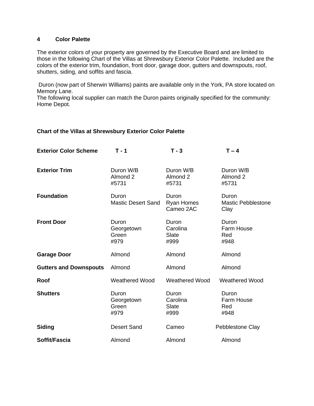#### **4 Color Palette**

The exterior colors of your property are governed by the Executive Board and are limited to those in the following Chart of the Villas at Shrewsbury Exterior Color Palette. Included are the colors of the exterior trim, foundation, front door, garage door, gutters and downspouts, roof, shutters, siding, and soffits and fascia.

Duron (now part of Sherwin Williams) paints are available only in the York, PA store located on Memory Lane.

The following local supplier can match the Duron paints originally specified for the community: Home Depot.

#### **Chart of the Villas at Shrewsbury Exterior Color Palette**

| <b>Exterior Color Scheme</b>  | $T - 1$                              | $T - 3$                            | $T - 4$                                    |
|-------------------------------|--------------------------------------|------------------------------------|--------------------------------------------|
| <b>Exterior Trim</b>          | Duron W/B<br>Almond 2<br>#5731       | Duron W/B<br>Almond 2<br>#5731     | Duron W/B<br>Almond 2<br>#5731             |
| <b>Foundation</b>             | Duron<br><b>Mastic Desert Sand</b>   | Duron<br>Ryan Homes<br>Cameo 2AC   | Duron<br><b>Mastic Pebblestone</b><br>Clay |
| <b>Front Door</b>             | Duron<br>Georgetown<br>Green<br>#979 | Duron<br>Carolina<br>Slate<br>#999 | Duron<br>Farm House<br>Red<br>#948         |
| <b>Garage Door</b>            | Almond                               | Almond                             | Almond                                     |
| <b>Gutters and Downspouts</b> | Almond                               | Almond                             | Almond                                     |
| Roof                          | <b>Weathered Wood</b>                | <b>Weathered Wood</b>              | <b>Weathered Wood</b>                      |
| <b>Shutters</b>               | Duron<br>Georgetown<br>Green<br>#979 | Duron<br>Carolina<br>Slate<br>#999 | Duron<br>Farm House<br>Red<br>#948         |
| <b>Siding</b>                 | <b>Desert Sand</b>                   | Cameo                              | Pebblestone Clay                           |
| Soffit/Fascia                 | Almond                               | Almond                             | Almond                                     |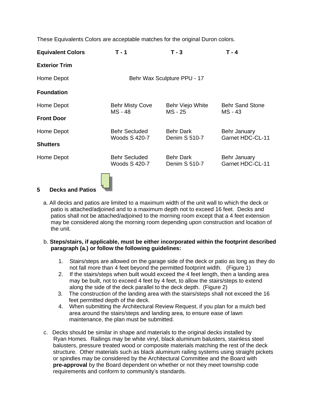These Equivalents Colors are acceptable matches for the original Duron colors.

| <b>Equivalent Colors</b> | $T - 1$                               | $T - 3$                           | T - 4                             |  |
|--------------------------|---------------------------------------|-----------------------------------|-----------------------------------|--|
| <b>Exterior Trim</b>     |                                       |                                   |                                   |  |
| Home Depot               |                                       | Behr Wax Sculpture PPU - 17       |                                   |  |
| <b>Foundation</b>        |                                       |                                   |                                   |  |
| Home Depot               | <b>Behr Misty Cove</b><br>MS - 48     | Behr Viejo White<br>MS - 25       | <b>Behr Sand Stone</b><br>MS - 43 |  |
| <b>Front Door</b>        |                                       |                                   |                                   |  |
| Home Depot               | <b>Behr Secluded</b><br>Woods S 420-7 | <b>Behr Dark</b><br>Denim S 510-7 | Behr January<br>Garnet HDC-CL-11  |  |
| <b>Shutters</b>          |                                       |                                   |                                   |  |
| Home Depot               | <b>Behr Secluded</b><br>Woods S 420-7 | <b>Behr Dark</b><br>Denim S 510-7 | Behr January<br>Garnet HDC-CL-11  |  |
|                          |                                       |                                   |                                   |  |

# **5 Decks and Patios**

 a. All decks and patios are limited to a maximum width of the unit wall to which the deck or patio is attached/adjoined and to a maximum depth not to exceed 16 feet. Decks and patios shall not be attached/adjoined to the morning room except that a 4 feet extension may be considered along the morning room depending upon construction and location of the unit.

#### b. **Steps/stairs, if applicable, must be either incorporated within the footprint described paragraph (a.) or follow the following guidelines:**

- 1. Stairs/steps are allowed on the garage side of the deck or patio as long as they do not fall more than 4 feet beyond the permitted footprint width. (Figure 1)
- 2. If the stairs/steps when built would exceed the 4 feet length, then a landing area may be built, not to exceed 4 feet by 4 feet, to allow the stairs/steps to extend along the side of the deck parallel to the deck depth. (Figure 2)
- 3. The construction of the landing area with the stairs/steps shall not exceed the 16 feet permitted depth of the deck.
- 4. When submitting the Architectural Review Request, if you plan for a mulch bed area around the stairs/steps and landing area, to ensure ease of lawn maintenance, the plan must be submitted.
- c. Decks should be similar in shape and materials to the original decks installed by Ryan Homes. Railings may be white vinyl, black aluminum balusters, stainless steel balusters, pressure treated wood or composite materials matching the rest of the deck structure. Other materials such as black aluminum railing systems using straight pickets or spindles may be considered by the Architectural Committee and the Board with **pre-approval** by the Board dependent on whether or not they meet township code requirements and conform to community's standards.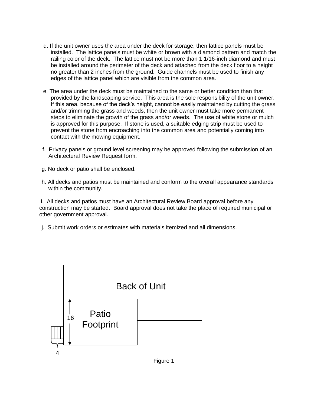- d. If the unit owner uses the area under the deck for storage, then lattice panels must be installed. The lattice panels must be white or brown with a diamond pattern and match the railing color of the deck. The lattice must not be more than 1 1/16-inch diamond and must be installed around the perimeter of the deck and attached from the deck floor to a height no greater than 2 inches from the ground. Guide channels must be used to finish any edges of the lattice panel which are visible from the common area.
- e. The area under the deck must be maintained to the same or better condition than that provided by the landscaping service. This area is the sole responsibility of the unit owner. If this area, because of the deck's height, cannot be easily maintained by cutting the grass and/or trimming the grass and weeds, then the unit owner must take more permanent steps to eliminate the growth of the grass and/or weeds. The use of white stone or mulch is approved for this purpose. If stone is used, a suitable edging strip must be used to prevent the stone from encroaching into the common area and potentially coming into contact with the mowing equipment.
- f. Privacy panels or ground level screening may be approved following the submission of an Architectural Review Request form.
- g. No deck or patio shall be enclosed.
- h. All decks and patios must be maintained and conform to the overall appearance standards within the community.

i. All decks and patios must have an Architectural Review Board approval before any construction may be started. Board approval does not take the place of required municipal or other government approval.

j. Submit work orders or estimates with materials itemized and all dimensions.

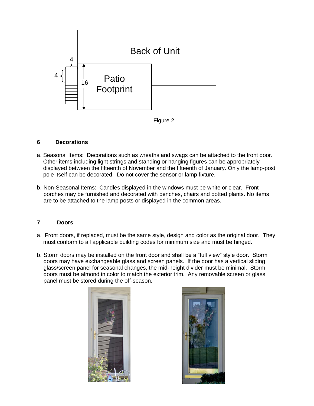

#### Figure 2

#### **6 Decorations**

- a. Seasonal Items: Decorations such as wreaths and swags can be attached to the front door. Other items including light strings and standing or hanging figures can be appropriately displayed between the fifteenth of November and the fifteenth of January. Only the lamp-post pole itself can be decorated. Do not cover the sensor or lamp fixture.
- b. Non-Seasonal Items: Candles displayed in the windows must be white or clear. Front porches may be furnished and decorated with benches, chairs and potted plants. No items are to be attached to the lamp posts or displayed in the common areas.

#### **7 Doors**

- a. Front doors, if replaced, must be the same style, design and color as the original door. They must conform to all applicable building codes for minimum size and must be hinged.
- b. Storm doors may be installed on the front door and shall be a "full view" style door. Storm doors may have exchangeable glass and screen panels. If the door has a vertical sliding glass/screen panel for seasonal changes, the mid-height divider must be minimal. Storm doors must be almond in color to match the exterior trim. Any removable screen or glass panel must be stored during the off-season.



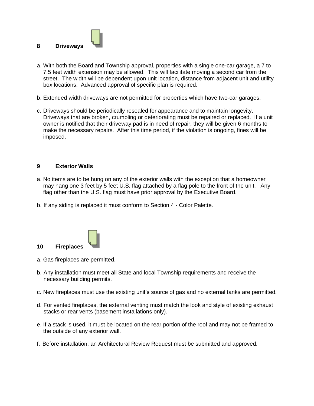

- a. With both the Board and Township approval, properties with a single one-car garage, a 7 to 7.5 feet width extension may be allowed. This will facilitate moving a second car from the street. The width will be dependent upon unit location, distance from adjacent unit and utility box locations. Advanced approval of specific plan is required.
- b. Extended width driveways are not permitted for properties which have two-car garages.
- c. Driveways should be periodically resealed for appearance and to maintain longevity. Driveways that are broken, crumbling or deteriorating must be repaired or replaced. If a unit owner is notified that their driveway pad is in need of repair, they will be given 6 months to make the necessary repairs. After this time period, if the violation is ongoing, fines will be imposed.

#### **9 Exterior Walls**

- a. No items are to be hung on any of the exterior walls with the exception that a homeowner may hang one 3 feet by 5 feet U.S. flag attached by a flag pole to the front of the unit. Any flag other than the U.S. flag must have prior approval by the Executive Board.
- b. If any siding is replaced it must conform to Section 4 Color Palette.



- a. Gas fireplaces are permitted.
- b. Any installation must meet all State and local Township requirements and receive the necessary building permits.
- c. New fireplaces must use the existing unit's source of gas and no external tanks are permitted.
- d. For vented fireplaces, the external venting must match the look and style of existing exhaust stacks or rear vents (basement installations only).
- e. If a stack is used, it must be located on the rear portion of the roof and may not be framed to the outside of any exterior wall.
- f. Before installation, an Architectural Review Request must be submitted and approved.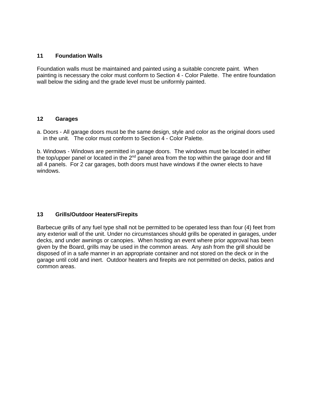#### **11 Foundation Walls**

Foundation walls must be maintained and painted using a suitable concrete paint. When painting is necessary the color must conform to Section 4 - Color Palette. The entire foundation wall below the siding and the grade level must be uniformly painted.

#### **12 Garages**

a. Doors - All garage doors must be the same design, style and color as the original doors used in the unit. The color must conform to Section 4 - Color Palette.

b. Windows - Windows are permitted in garage doors. The windows must be located in either the top/upper panel or located in the  $2<sup>nd</sup>$  panel area from the top within the garage door and fill all 4 panels. For 2 car garages, both doors must have windows if the owner elects to have windows.

## **13 Grills/Outdoor Heaters/Firepits**

Barbecue grills of any fuel type shall not be permitted to be operated less than four (4) feet from any exterior wall of the unit. Under no circumstances should grills be operated in garages, under decks, and under awnings or canopies. When hosting an event where prior approval has been given by the Board, grills may be used in the common areas. Any ash from the grill should be disposed of in a safe manner in an appropriate container and not stored on the deck or in the garage until cold and inert. Outdoor heaters and firepits are not permitted on decks, patios and common areas.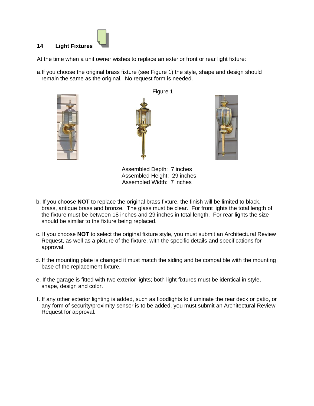# **14 Light Fixtures**

At the time when a unit owner wishes to replace an exterior front or rear light fixture:

a.If you choose the original brass fixture (see Figure 1) the style, shape and design should remain the same as the original. No request form is needed.



Figure 1



Assembled Depth: 7 inches Assembled Height: 29 inches Assembled Width: 7 inches

- b. If you choose **NOT** to replace the original brass fixture, the finish will be limited to black, brass, antique brass and bronze. The glass must be clear. For front lights the total length of the fixture must be between 18 inches and 29 inches in total length. For rear lights the size should be similar to the fixture being replaced.
- c. If you choose **NOT** to select the original fixture style, you must submit an Architectural Review Request, as well as a picture of the fixture, with the specific details and specifications for approval.
- d. If the mounting plate is changed it must match the siding and be compatible with the mounting base of the replacement fixture.
- e. If the garage is fitted with two exterior lights; both light fixtures must be identical in style, shape, design and color.
- f. If any other exterior lighting is added, such as floodlights to illuminate the rear deck or patio, or any form of security/proximity sensor is to be added, you must submit an Architectural Review Request for approval.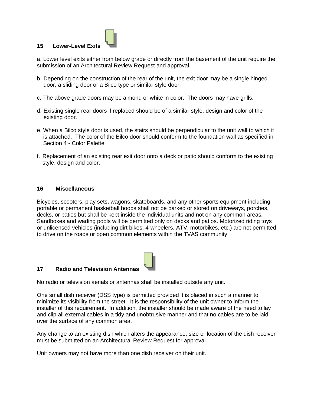

#### **15 Lower-Level Exits**

a. Lower level exits either from below grade or directly from the basement of the unit require the submission of an Architectural Review Request and approval.

- b. Depending on the construction of the rear of the unit, the exit door may be a single hinged door, a sliding door or a Bilco type or similar style door.
- c. The above grade doors may be almond or white in color. The doors may have grills.
- d. Existing single rear doors if replaced should be of a similar style, design and color of the existing door.
- e. When a Bilco style door is used, the stairs should be perpendicular to the unit wall to which it is attached. The color of the Bilco door should conform to the foundation wall as specified in Section 4 - Color Palette.
- f. Replacement of an existing rear exit door onto a deck or patio should conform to the existing style, design and color.

#### **16 Miscellaneous**

Bicycles, scooters, play sets, wagons, skateboards, and any other sports equipment including portable or permanent basketball hoops shall not be parked or stored on driveways, porches, decks, or patios but shall be kept inside the individual units and not on any common areas. Sandboxes and wading pools will be permitted only on decks and patios. Motorized riding toys or unlicensed vehicles (including dirt bikes, 4-wheelers, ATV, motorbikes, etc.) are not permitted to drive on the roads or open common elements within the TVAS community.



#### **17 Radio and Television Antennas**

No radio or television aerials or antennas shall be installed outside any unit.

One small dish receiver (DSS type) is permitted provided it is placed in such a manner to minimize its visibility from the street. It is the responsibility of the unit owner to inform the installer of this requirement. In addition, the installer should be made aware of the need to lay and clip all external cables in a tidy and unobtrusive manner and that no cables are to be laid over the surface of any common area.

Any change to an existing dish which alters the appearance, size or location of the dish receiver must be submitted on an Architectural Review Request for approval.

Unit owners may not have more than one dish receiver on their unit.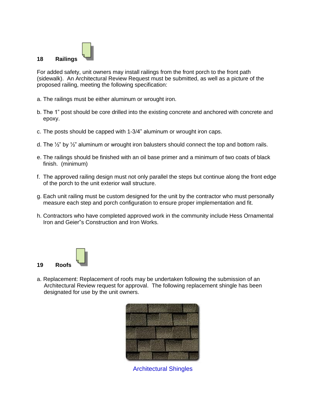

For added safety, unit owners may install railings from the front porch to the front path (sidewalk). An Architectural Review Request must be submitted, as well as a picture of the proposed railing, meeting the following specification:

- a. The railings must be either aluminum or wrought iron.
- b. The 1" post should be core drilled into the existing concrete and anchored with concrete and epoxy.
- c. The posts should be capped with 1-3/4" aluminum or wrought iron caps.
- d. The  $\frac{1}{2}$ " by  $\frac{1}{2}$ " aluminum or wrought iron balusters should connect the top and bottom rails.
- e. The railings should be finished with an oil base primer and a minimum of two coats of black finish. (minimum)
- f. The approved railing design must not only parallel the steps but continue along the front edge of the porch to the unit exterior wall structure.
- g. Each unit railing must be custom designed for the unit by the contractor who must personally measure each step and porch configuration to ensure proper implementation and fit.
- h. Contractors who have completed approved work in the community include Hess Ornamental Iron and Geier"s Construction and Iron Works.



a. Replacement: Replacement of roofs may be undertaken following the submission of an Architectural Review request for approval. The following replacement shingle has been designated for use by the unit owners.



Architectural Shingles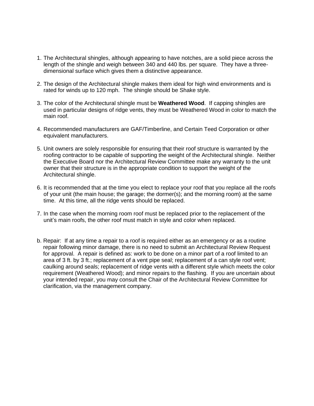- 1. The Architectural shingles, although appearing to have notches, are a solid piece across the length of the shingle and weigh between 340 and 440 lbs. per square. They have a threedimensional surface which gives them a distinctive appearance.
- 2. The design of the Architectural shingle makes them ideal for high wind environments and is rated for winds up to 120 mph. The shingle should be Shake style.
- 3. The color of the Architectural shingle must be **Weathered Wood**. If capping shingles are used in particular designs of ridge vents, they must be Weathered Wood in color to match the main roof.
- 4. Recommended manufacturers are GAF/Timberline, and Certain Teed Corporation or other equivalent manufacturers.
- 5. Unit owners are solely responsible for ensuring that their roof structure is warranted by the roofing contractor to be capable of supporting the weight of the Architectural shingle. Neither the Executive Board nor the Architectural Review Committee make any warranty to the unit owner that their structure is in the appropriate condition to support the weight of the Architectural shingle.
- 6. It is recommended that at the time you elect to replace your roof that you replace all the roofs of your unit (the main house; the garage; the dormer(s); and the morning room) at the same time. At this time, all the ridge vents should be replaced.
- 7. In the case when the morning room roof must be replaced prior to the replacement of the unit's main roofs, the other roof must match in style and color when replaced.
- b. Repair: If at any time a repair to a roof is required either as an emergency or as a routine repair following minor damage, there is no need to submit an Architectural Review Request for approval. A repair is defined as: work to be done on a minor part of a roof limited to an area of 3 ft. by 3 ft.; replacement of a vent pipe seal; replacement of a can style roof vent; caulking around seals; replacement of ridge vents with a different style which meets the color requirement (Weathered Wood); and minor repairs to the flashing. If you are uncertain about your intended repair, you may consult the Chair of the Architectural Review Committee for clarification, via the management company.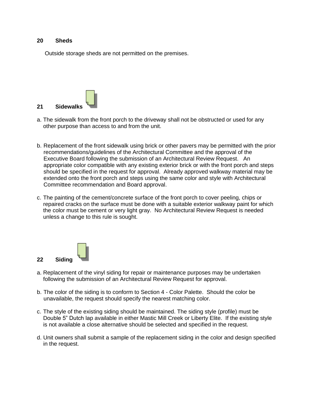#### **20 Sheds**

Outside storage sheds are not permitted on the premises.



- a. The sidewalk from the front porch to the driveway shall not be obstructed or used for any other purpose than access to and from the unit.
- b. Replacement of the front sidewalk using brick or other pavers may be permitted with the prior recommendations/guidelines of the Architectural Committee and the approval of the Executive Board following the submission of an Architectural Review Request. An appropriate color compatible with any existing exterior brick or with the front porch and steps should be specified in the request for approval. Already approved walkway material may be extended onto the front porch and steps using the same color and style with Architectural Committee recommendation and Board approval.
- c. The painting of the cement/concrete surface of the front porch to cover peeling, chips or repaired cracks on the surface must be done with a suitable exterior walkway paint for which the color must be cement or very light gray. No Architectural Review Request is needed unless a change to this rule is sought.



- a. Replacement of the vinyl siding for repair or maintenance purposes may be undertaken following the submission of an Architectural Review Request for approval.
- b. The color of the siding is to conform to Section 4 Color Palette. Should the color be unavailable, the request should specify the nearest matching color.
- c. The style of the existing siding should be maintained. The siding style (profile) must be Double 5" Dutch lap available in either Mastic Mill Creek or Liberty Elite. If the existing style is not available a close alternative should be selected and specified in the request.
- d. Unit owners shall submit a sample of the replacement siding in the color and design specified in the request.